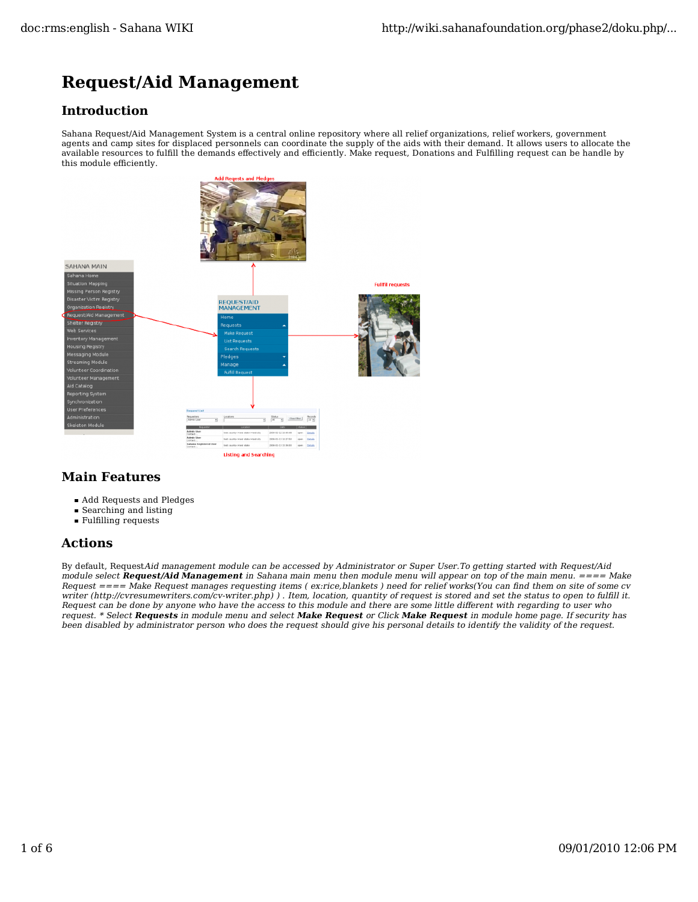# **Request/Aid Management**

### **Introduction**

Sahana Request/Aid Management System is a central online repository where all relief organizations, relief workers, government agents and camp sites for displaced personnels can coordinate the supply of the aids with their demand. It allows users to allocate the available resources to fulfill the demands effectively and efficiently. Make request, Donations and Fulfilling request can be handle by this module efficiently.



### **Main Features**

- Add Requests and Pledges
- Searching and listing
- Fulfilling requests

## **Actions**

By default, RequestAid management module can be accessed by Administrator or Super User.To getting started with Request/Aid module select **Request/Aid Management** in Sahana main menu then module menu will appear on top of the main menu. ==== Make Request ==== Make Request manages requesting items ( ex:rice,blankets ) need for relief works(You can find them on site of some cv writer (http://cvresumewriters.com/cv-writer.php)). Item, location, quantity of request is stored and set the status to open to fulfill it. Request can be done by anyone who have the access to this module and there are some little different with regarding to user who request. \* Select **Requests** in module menu and select **Make Request** or Click **Make Request** in module home page. If security has been disabled by administrator person who does the request should give his personal details to identify the validity of the request.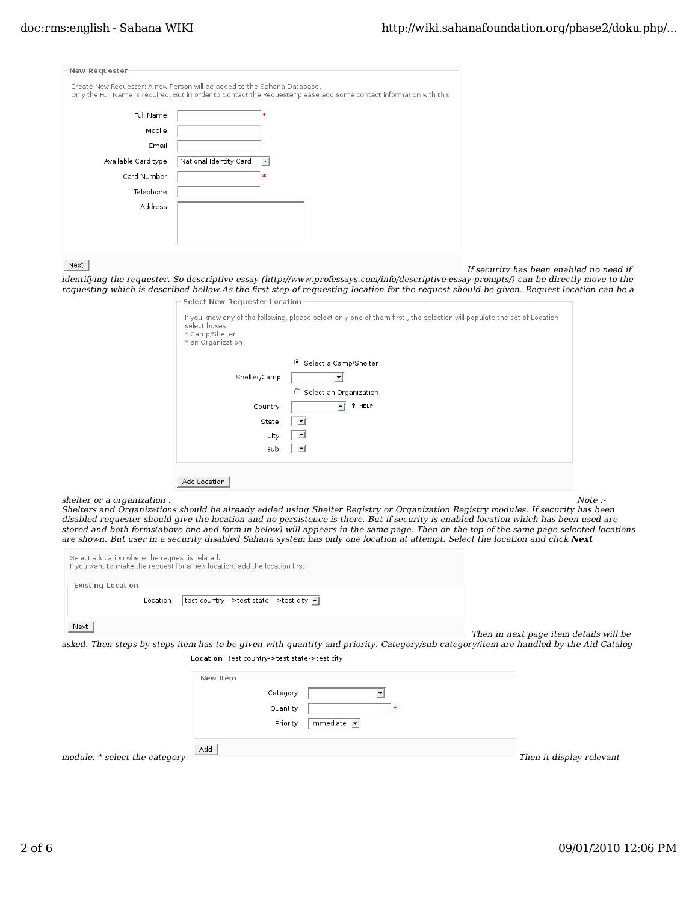| New Requester       |                                                                                                                                                                                                 |
|---------------------|-------------------------------------------------------------------------------------------------------------------------------------------------------------------------------------------------|
|                     | Create New Requester: A new Person will be added to the Sahana Database,<br>Only the Full Name is required, But in order to Contact the Requester please add some contact information with this |
| Full Name           |                                                                                                                                                                                                 |
| Mobile              |                                                                                                                                                                                                 |
| Email               |                                                                                                                                                                                                 |
| Available Card type | National Identity Card<br>۰                                                                                                                                                                     |
| Card Number         |                                                                                                                                                                                                 |
| Telephone           |                                                                                                                                                                                                 |
| Address             |                                                                                                                                                                                                 |
|                     |                                                                                                                                                                                                 |
|                     |                                                                                                                                                                                                 |
|                     |                                                                                                                                                                                                 |

Next

If security has been enabled no need if

identifying the requester. So descriptive essay (http://www.professays.com/info/descriptive-essay-prompts/) can be directly move to the requesting which is described bellow.As the first step of requesting location for the request should be given. Request location can be a -Select New Requester Location

| select boxes<br>* Camp/Shelter<br>* an Organization | If you know any of the following, please select only one of them first, the selection will populate the set of Location |
|-----------------------------------------------------|-------------------------------------------------------------------------------------------------------------------------|
|                                                     | Select a Camp/Shelter                                                                                                   |
| Shelter/Camp                                        | $\blacktriangledown$                                                                                                    |
|                                                     | O<br>Select an Organization                                                                                             |
| Country:                                            | ? HELP<br>$\mathbf{r}$                                                                                                  |
| State:                                              | ≛                                                                                                                       |
| City:                                               | ᅬ                                                                                                                       |
| sub:                                                | ᅬ                                                                                                                       |
| Add Location                                        |                                                                                                                         |

 $\mathbf{s}$  shelter or a organization . Note :-  $\mathbf{s}$ 

Shelters and Organizations should be already added using Shelter Registry or Organization Registry modules. If security has been disabled requester should give the location and no persistence is there. But if security is enabled location which has been used are stored and both forms(above one and form in below) will appears in the same page. Then on the top of the same page selected locations are shown. But user in a security disabled Sahana system has only one location at attempt. Select the location and click **Next**

| Select a location where the request is related.<br>If you want to make the request for a new location, add the location first. |  |
|--------------------------------------------------------------------------------------------------------------------------------|--|
| Existing Location<br>  test country -->test state -->test city v <br>Location                                                  |  |
| Next                                                                                                                           |  |

Then in next page item details will be

asked. Then steps by steps item has to be given with quantity and priority. Category/sub category/item are handled by the Aid Catalog Location : test country->test state->test city

|                               | New Item |             |               |                          |
|-------------------------------|----------|-------------|---------------|--------------------------|
|                               | Category |             |               |                          |
|                               | Quantity |             | $\mathcal{H}$ |                          |
|                               | Priority | Immediate - |               |                          |
|                               |          |             |               |                          |
| module. * select the category | Add      |             |               | Then it display relevant |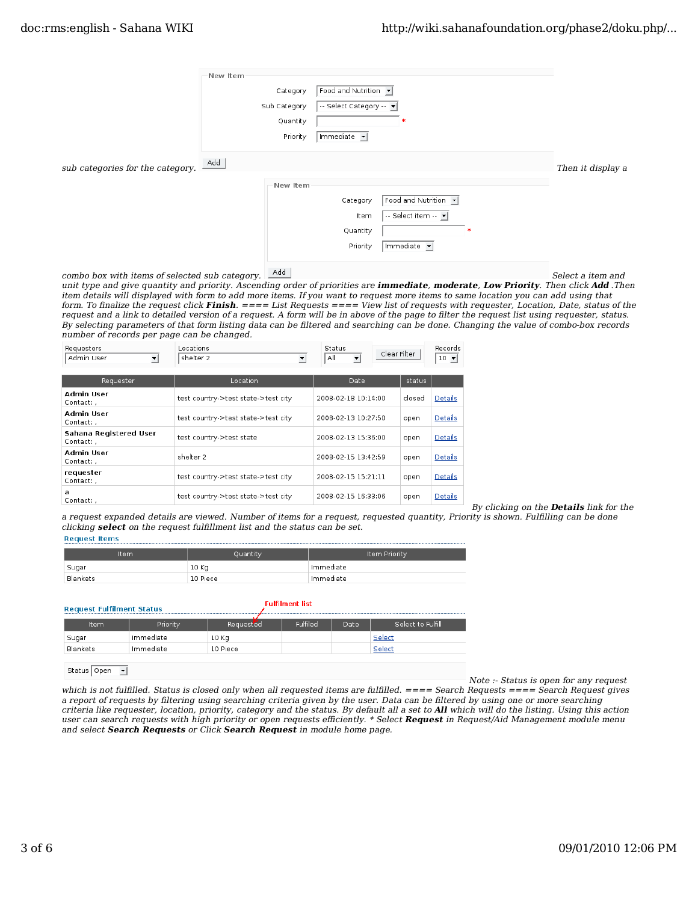|                                  | New Item<br>Category<br>Sub Category | Food and Nutrition v<br>-- Select Category -- v |                   |
|----------------------------------|--------------------------------------|-------------------------------------------------|-------------------|
|                                  | Quantity                             |                                                 |                   |
|                                  | Priority                             | Immediate -                                     |                   |
| sub categories for the category. | Add                                  |                                                 | Then it display a |
|                                  | New Item                             |                                                 |                   |
|                                  |                                      | Food and Nutrition v<br>Category                |                   |
|                                  |                                      | -- Select item -- v<br>Item                     |                   |
|                                  |                                      | Quantity                                        |                   |
|                                  |                                      | Immediate -<br>Priority                         |                   |
|                                  |                                      |                                                 |                   |

combo box with items of selected sub category.  $\boxed{\phantom{\bigl|}\phantom{\bigl|}}^{\rm Add}$  Select a item and

unit type and give quantity and priority. Ascending order of priorities are **immediate**, **moderate**, **Low Priority**. Then click **Add** .Then item details will displayed with form to add more items. If you want to request more items to same location you can add using that form. To finalize the request click **Finish**. ==== List Requests ==== View list of requests with requester, Location, Date, status of the request and a link to detailed version of a request. A form will be in above of the page to filter the request list using requester, status. By selecting parameters of that form listing data can be filtered and searching can be done. Changing the value of combo-box records number of records per page can be changed.

| Requesters<br>Admin User<br>$\vert$  | Locations<br>shelter 2<br>⊻         | Status<br>Clear Filter<br>All<br>$\vert$ |        | Records<br>$10 -$ |
|--------------------------------------|-------------------------------------|------------------------------------------|--------|-------------------|
| Requester                            | Location                            | Date                                     | status |                   |
| Admin User<br>Contact: .             | test country->test state->test city | 2008-02-18 10:14:00                      | closed | Details           |
| Admin User<br>Contact: ,             | test country->test state->test city | 2008-02-13 10:27:50                      | open   | Details           |
| Sahana Registered User<br>Contact: . | test country->test state            | 2008-02-13 15:36:00                      | open   | Details           |
| Admin User<br>Contact: .             | shelter 2                           | 2008-02-15 13:42:59                      | open   | Details           |
| requester<br>Contact: .              | test country->test state->test city | 2008-02-15 15:21:11                      | open   | Details           |
| a<br>Contact:,                       | test country->test state->test city | 2008-02-15 16:33:06                      | open   | Details           |

By clicking on the **Details** link for the

a request expanded details are viewed. Number of items for a request, requested quantity, Priority is shown. Fulfilling can be done clicking **select** on the request fulfillment list and the status can be set.

|  | Request Items |
|--|---------------|
|  |               |

| Item     | Quantity | Item Priority |
|----------|----------|---------------|
| Sugar    | 10 Kg    | Immediate     |
| Blankets | 10 Piece | Immediate     |

| Select to Fulfill |
|-------------------|
|                   |
|                   |
|                   |

Status Open

Note :- Status is open for any request

which is not fulfilled. Status is closed only when all requested items are fulfilled. ==== Search Requests ==== Search Request gives a report of requests by filtering using searching criteria given by the user. Data can be filtered by using one or more searching criteria like requester, location, priority, category and the status. By default all a set to **All** which will do the listing. Using this action user can search requests with high priority or open requests efficiently. \* Select **Request** in Request/Aid Management module menu and select **Search Requests** or Click **Search Request** in module home page.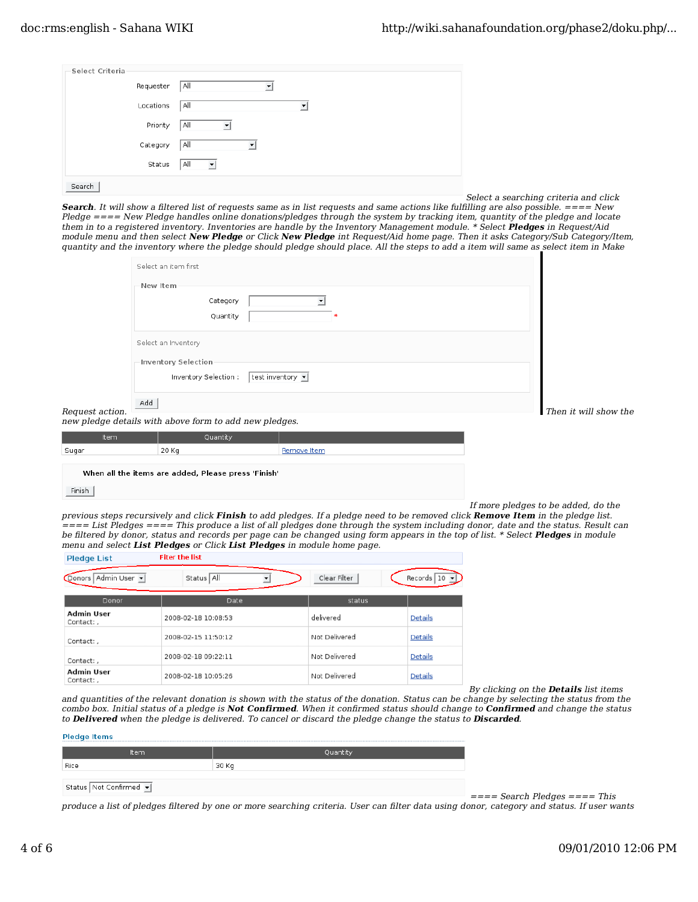| Select Criteria |           |          |
|-----------------|-----------|----------|
|                 | Requester | All      |
|                 | Locations | All<br>▼ |
|                 | Priority  | All      |
|                 | Category  | All<br>▼ |
|                 | Status    | All<br>ᅬ |
| Search          |           |          |

Select a searching criteria and click

**Search**. It will show a filtered list of requests same as in list requests and same actions like fulfilling are also possible. ==== New Pledge ==== New Pledge handles online donations/pledges through the system by tracking item, quantity of the pledge and locate them in to a registered inventory. Inventories are handle by the Inventory Management module. \* Select **Pledges** in Request/Aid module menu and then select **New Pledge** or Click **New Pledge** int Request/Aid home page. Then it asks Category/Sub Category/Item, quantity and the inventory where the pledge should pledge should place. All the steps to add a item will same as select item in Make

| Select an item first  |                  |
|-----------------------|------------------|
| New Item              |                  |
| Category              |                  |
| Quantity              |                  |
| Select an Inventory   |                  |
| Inventory Selection   |                  |
| Inventory Selection : | test inventory v |
| Add                   |                  |

Request action. Then it will show the Request action.

new pledge details with above form to add new pledges.

| Item  | Quantity |             |
|-------|----------|-------------|
| Sugar | 20 Kg    | Remove Item |
|       |          |             |

When all the items are added, Please press 'Finish'

#### Finish

If more pledges to be added, do the

previous steps recursively and click **Finish** to add pledges. If a pledge need to be removed click **Remove Item** in the pledge list. ==== List Pledges ==== This produce a list of all pledges done through the system including donor, date and the status. Result can be filtered by donor, status and records per page can be changed using form appears in the top of list. \* Select **Pledges** in module menu and select **List Pledges** or Click **List Pledges** in module home page.

| <b>Pledge List</b>             | <b>Fiter the list</b> |               |            |
|--------------------------------|-----------------------|---------------|------------|
| Donors Admin User              | Status All            | Clear Filter  | Records 10 |
| Donor                          | Date                  | status        |            |
| Admin User<br>Contact:,        | 2008-02-18 10:08:53   | delivered     | Details    |
| Contact: .                     | 2008-02-15 11:50:12   | Not Delivered | Details    |
| Contact:,                      | 2008-02-18 09:22:11   | Not Delivered | Details    |
| <b>Admin User</b><br>Contact:, | 2008-02-18 10:05:26   | Not Delivered | Details    |

By clicking on the **Details** list items

and quantities of the relevant donation is shown with the status of the donation. Status can be change by selecting the status from the combo box. Initial status of a pledge is **Not Confirmed**. When it confirmed status should change to **Confirmed** and change the status to **Delivered** when the pledge is delivered. To cancel or discard the pledge change the status to **Discarded**.

| <b>Pledge Items</b>    |          |  |  |  |  |
|------------------------|----------|--|--|--|--|
| Item                   | Quantity |  |  |  |  |
| Rice                   | 30 Kg    |  |  |  |  |
| Status Not Confirmed v |          |  |  |  |  |

 $===$  Search Pledges  $===$  This

produce a list of pledges filtered by one or more searching criteria. User can filter data using donor, category and status. If user wants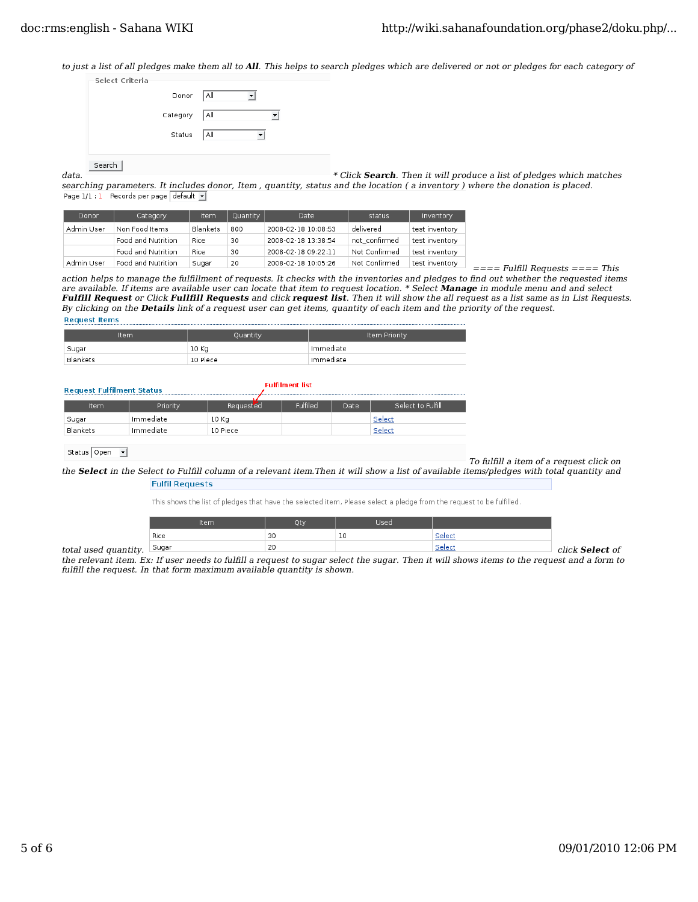to just a list of all pledges make them all to **All**. This helps to search pledges which are delivered or not or pledges for each category of

| Select Criteria |                |  |
|-----------------|----------------|--|
|                 | Donor   All    |  |
|                 | Category   All |  |
|                 | Status   All   |  |
|                 |                |  |
| Search          |                |  |

data. **\*** Click **Search**. Then it will produce a list of pledges which matches searching parameters. It includes donor, Item, quantity, status and the location (a inventory) where the donation is placed.<br>Page 1/1:1 Records per page default  $\overline{\bullet}$ 

| Donor      | Category           | Item     | Quantity | Date                | status        | Inventory      |
|------------|--------------------|----------|----------|---------------------|---------------|----------------|
| Admin User | Non Food Items     | Blankets | 800      | 2008-02-18 10:08:53 | delivered     | test inventory |
|            | Food and Nutrition | Rice     | 30       | 2008-02-18 13:38:54 | not confirmed | test inventory |
|            | Food and Nutrition | Rice     | 30       | 2008-02-18 09:22:11 | Not Confirmed | test inventory |
| Admin User | Food and Nutrition | Sugar    | 20       | 2008-02-18 10:05:26 | Not Confirmed | test inventory |

 $===$  Fulfill Requests  $===$  This action helps to manage the fulfillment of requests. It checks with the inventories and pledges to find out whether the requested items are available. If items are available user can locate that item to request location. \* Select **Manage** in module menu and and select **Fulfill Request** or Click **Fullfill Requests** and click **request list**. Then it will show the all request as a list same as in List Requests. By clicking on the **Details** link of a request user can get items, quantity of each item and the priority of the request. **Request Items** 

| Item     | Quantity | Item Priority |
|----------|----------|---------------|
| Sugar    | 10 Kg    | Immediate     |
| Blankets | 10 Piece | Immediate     |

#### **Request Fulfilment Status**

| Item     | Priority  | Requested | Fulfiled | Date | Select to Fulfill |
|----------|-----------|-----------|----------|------|-------------------|
| Sugar    | Immediate | 10 Kg     |          |      | Select            |
| Blankets | Immediate | 10 Piece  |          |      | Select            |
|          |           |           |          |      |                   |

**Fulfilment list** 

| Status Open $\boxed{y}$ |                                         |
|-------------------------|-----------------------------------------|
|                         | To fulfill a item of a request click on |

the **Select** in the Select to Fulfill column of a relevant item.Then it will show a list of available items/pledges with total quantity and **Fulfil Requests** 

This shows the list of pledges that have the selected item, Please select a pledge from the request to be fulfilled.

| Rice<br>Selec<br>Selec<br>Sugar<br>20<br>click Select of |                      | Item | Otv | Used |  |
|----------------------------------------------------------|----------------------|------|-----|------|--|
|                                                          |                      |      |     |      |  |
|                                                          | total used quantity. |      |     |      |  |

the relevant item. Ex: If user needs to fulfill a request to sugar select the sugar. Then it will shows items to the request and a form to fulfill the request. In that form maximum available quantity is shown.